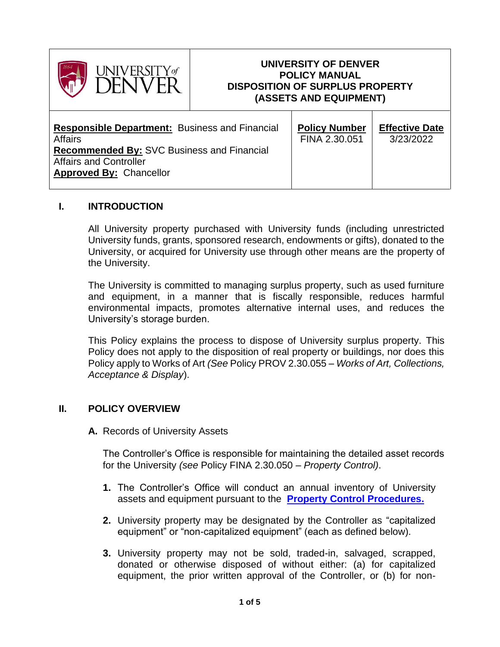

# **UNIVERSITY OF DENVER POLICY MANUAL DISPOSITION OF SURPLUS PROPERTY (ASSETS AND EQUIPMENT)**

| <b>Responsible Department:</b> Business and Financial<br><b>Affairs</b><br><b>Recommended By: SVC Business and Financial</b><br><b>Affairs and Controller</b><br><b>Approved By: Chancellor</b> | <b>Policy Number</b><br>FINA 2.30.051 | <b>Effective Date</b><br>3/23/2022 |
|-------------------------------------------------------------------------------------------------------------------------------------------------------------------------------------------------|---------------------------------------|------------------------------------|
|-------------------------------------------------------------------------------------------------------------------------------------------------------------------------------------------------|---------------------------------------|------------------------------------|

## **I. INTRODUCTION**

All University property purchased with University funds (including unrestricted University funds, grants, sponsored research, endowments or gifts), donated to the University, or acquired for University use through other means are the property of the University.

The University is committed to managing surplus property, such as used furniture and equipment, in a manner that is fiscally responsible, reduces harmful environmental impacts, promotes alternative internal uses, and reduces the University's storage burden.

This Policy explains the process to dispose of University surplus property. This Policy does not apply to the disposition of real property or buildings, nor does this Policy apply to Works of Art *(See* Policy PROV 2.30.055 *– Works of Art, Collections, Acceptance & Display*).

## **II. POLICY OVERVIEW**

**A.** Records of University Assets

The Controller's Office is responsible for maintaining the detailed asset records for the University *(see* Policy FINA 2.30.050 – *Property Control)*.

- **1.** The Controller's Office will conduct an annual inventory of University assets and equipment pursuant to the **[Property Control Procedures.](https://www.du.edu/controller/media/documents/propertycontrolprocedures2019-university.pdf)**
- **2.** University property may be designated by the Controller as "capitalized equipment" or "non-capitalized equipment" (each as defined below).
- **3.** University property may not be sold, traded-in, salvaged, scrapped, donated or otherwise disposed of without either: (a) for capitalized equipment, the prior written approval of the Controller, or (b) for non-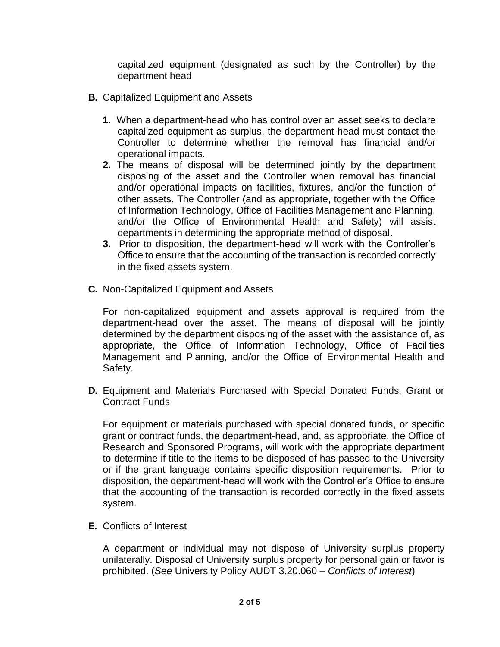capitalized equipment (designated as such by the Controller) by the department head

- **B.** Capitalized Equipment and Assets
	- **1.** When a department-head who has control over an asset seeks to declare capitalized equipment as surplus, the department-head must contact the Controller to determine whether the removal has financial and/or operational impacts.
	- **2.** The means of disposal will be determined jointly by the department disposing of the asset and the Controller when removal has financial and/or operational impacts on facilities, fixtures, and/or the function of other assets. The Controller (and as appropriate, together with the Office of Information Technology, Office of Facilities Management and Planning, and/or the Office of Environmental Health and Safety) will assist departments in determining the appropriate method of disposal.
	- **3.** Prior to disposition, the department-head will work with the Controller's Office to ensure that the accounting of the transaction is recorded correctly in the fixed assets system.
- **C.** Non-Capitalized Equipment and Assets

For non-capitalized equipment and assets approval is required from the department-head over the asset. The means of disposal will be jointly determined by the department disposing of the asset with the assistance of, as appropriate, the Office of Information Technology, Office of Facilities Management and Planning, and/or the Office of Environmental Health and Safety.

**D.** Equipment and Materials Purchased with Special Donated Funds, Grant or Contract Funds

For equipment or materials purchased with special donated funds, or specific grant or contract funds, the department-head, and, as appropriate, the Office of Research and Sponsored Programs, will work with the appropriate department to determine if title to the items to be disposed of has passed to the University or if the grant language contains specific disposition requirements. Prior to disposition, the department-head will work with the Controller's Office to ensure that the accounting of the transaction is recorded correctly in the fixed assets system.

**E.** Conflicts of Interest

A department or individual may not dispose of University surplus property unilaterally. Disposal of University surplus property for personal gain or favor is prohibited. (*See* University Policy AUDT 3.20.060 – *Conflicts of Interest*)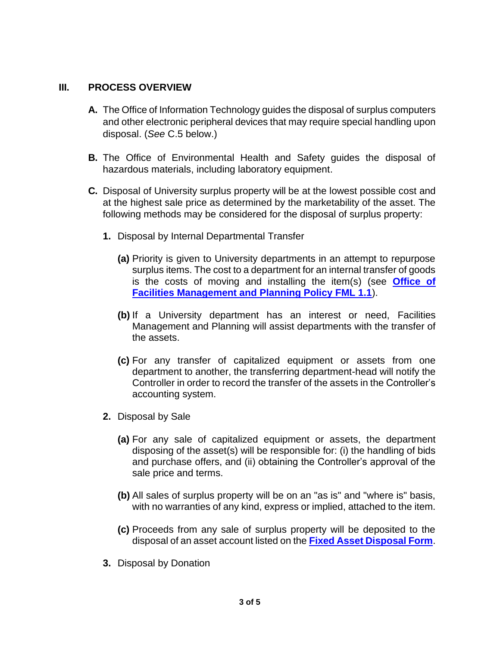## **III. PROCESS OVERVIEW**

- **A.** The Office of Information Technology guides the disposal of surplus computers and other electronic peripheral devices that may require special handling upon disposal. (*See* C.5 below.)
- **B.** The Office of Environmental Health and Safety guides the disposal of hazardous materials, including laboratory equipment.
- **C.** Disposal of University surplus property will be at the lowest possible cost and at the highest sale price as determined by the marketability of the asset. The following methods may be considered for the disposal of surplus property:
	- **1.** Disposal by Internal Departmental Transfer
		- **(a)** Priority is given to University departments in an attempt to repurpose surplus items. The cost to a department for an internal transfer of goods is the costs of moving and installing the item(s) (see **[Office of](https://www.du.edu/facilities/policies/index.html)  [Facilities Management and Planning Policy FML 1.1](https://www.du.edu/facilities/policies/index.html)**).
		- **(b)** If a University department has an interest or need, Facilities Management and Planning will assist departments with the transfer of the assets.
		- **(c)** For any transfer of capitalized equipment or assets from one department to another, the transferring department-head will notify the Controller in order to record the transfer of the assets in the Controller's accounting system.
	- **2.** Disposal by Sale
		- **(a)** For any sale of capitalized equipment or assets, the department disposing of the asset(s) will be responsible for: (i) the handling of bids and purchase offers, and (ii) obtaining the Controller's approval of the sale price and terms.
		- **(b)** All sales of surplus property will be on an "as is" and "where is" basis, with no warranties of any kind, express or implied, attached to the item.
		- **(c)** Proceeds from any sale of surplus property will be deposited to the disposal of an asset account listed on the **[Fixed Asset Disposal Form](https://www.du.edu/controller/media/documents/fa_disposal_form.pdf)**.
	- **3.** Disposal by Donation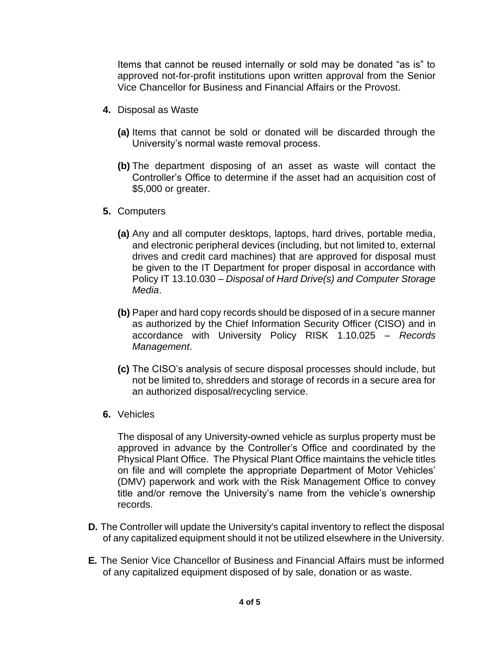Items that cannot be reused internally or sold may be donated "as is" to approved not-for-profit institutions upon written approval from the Senior Vice Chancellor for Business and Financial Affairs or the Provost.

- **4.** Disposal as Waste
	- **(a)** Items that cannot be sold or donated will be discarded through the University's normal waste removal process.
	- **(b)** The department disposing of an asset as waste will contact the Controller's Office to determine if the asset had an acquisition cost of \$5,000 or greater.
- **5.** Computers
	- **(a)** Any and all computer desktops, laptops, hard drives, portable media, and electronic peripheral devices (including, but not limited to, external drives and credit card machines) that are approved for disposal must be given to the IT Department for proper disposal in accordance with Policy IT 13.10.030 – *Disposal of Hard Drive(s) and Computer Storage Media*.
	- **(b)** Paper and hard copy records should be disposed of in a secure manner as authorized by the Chief Information Security Officer (CISO) and in accordance with University Policy RISK 1.10.025 – *Records Management*.
	- **(c)** The CISO's analysis of secure disposal processes should include, but not be limited to, shredders and storage of records in a secure area for an authorized disposal/recycling service.
- **6.** Vehicles

The disposal of any University-owned vehicle as surplus property must be approved in advance by the Controller's Office and coordinated by the Physical Plant Office. The Physical Plant Office maintains the vehicle titles on file and will complete the appropriate Department of Motor Vehicles' (DMV) paperwork and work with the Risk Management Office to convey title and/or remove the University's name from the vehicle's ownership records.

- **D.** The Controller will update the University's capital inventory to reflect the disposal of any capitalized equipment should it not be utilized elsewhere in the University.
- **E.** The Senior Vice Chancellor of Business and Financial Affairs must be informed of any capitalized equipment disposed of by sale, donation or as waste.